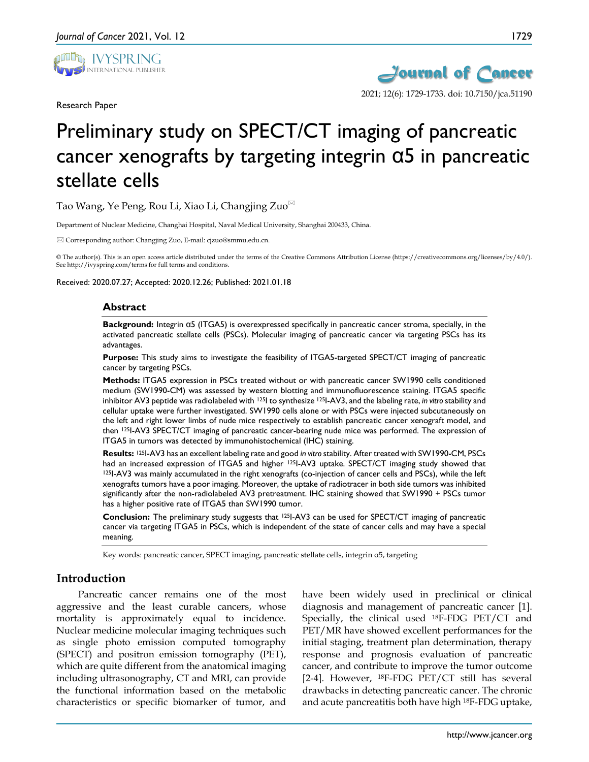

Research Paper



# Preliminary study on SPECT/CT imaging of pancreatic cancer xenografts by targeting integrin  $\alpha$ 5 in pancreatic stellate cells

Tao Wang, Ye Peng, Rou Li, Xiao Li, Changjing Zuo $^{\boxtimes}$ 

Department of Nuclear Medicine, Changhai Hospital, Naval Medical University, Shanghai 200433, China.

 $\boxtimes$  Corresponding author: Changjing Zuo, E-mail: cjzuo@smmu.edu.cn.

© The author(s). This is an open access article distributed under the terms of the Creative Commons Attribution License (https://creativecommons.org/licenses/by/4.0/). See http://ivyspring.com/terms for full terms and conditions.

Received: 2020.07.27; Accepted: 2020.12.26; Published: 2021.01.18

#### **Abstract**

**Background:** Integrin α5 (ITGA5) is overexpressed specifically in pancreatic cancer stroma, specially, in the activated pancreatic stellate cells (PSCs). Molecular imaging of pancreatic cancer via targeting PSCs has its advantages.

**Purpose:** This study aims to investigate the feasibility of ITGA5-targeted SPECT/CT imaging of pancreatic cancer by targeting PSCs.

**Methods:** ITGA5 expression in PSCs treated without or with pancreatic cancer SW1990 cells conditioned medium (SW1990-CM) was assessed by western blotting and immunofluorescence staining. ITGA5 specific inhibitor AV3 peptide was radiolabeled with 125I to synthesize 125I-AV3, and the labeling rate, *in vitro* stability and cellular uptake were further investigated. SW1990 cells alone or with PSCs were injected subcutaneously on the left and right lower limbs of nude mice respectively to establish pancreatic cancer xenograft model, and then 125I-AV3 SPECT/CT imaging of pancreatic cancer-bearing nude mice was performed. The expression of ITGA5 in tumors was detected by immunohistochemical (IHC) staining.

**Results:** 125I-AV3 has an excellent labeling rate and good *in vitro* stability. After treated with SW1990-CM, PSCs had an increased expression of ITGA5 and higher 125I-AV3 uptake. SPECT/CT imaging study showed that 125I-AV3 was mainly accumulated in the right xenografts (co-injection of cancer cells and PSCs), while the left xenografts tumors have a poor imaging. Moreover, the uptake of radiotracer in both side tumors was inhibited significantly after the non-radiolabeled AV3 pretreatment. IHC staining showed that SW1990 + PSCs tumor has a higher positive rate of ITGA5 than SW1990 tumor.

**Conclusion:** The preliminary study suggests that 125I-AV3 can be used for SPECT/CT imaging of pancreatic cancer via targeting ITGA5 in PSCs, which is independent of the state of cancer cells and may have a special meaning.

Key words: pancreatic cancer, SPECT imaging, pancreatic stellate cells, integrin α5, targeting

## **Introduction**

Pancreatic cancer remains one of the most aggressive and the least curable cancers, whose mortality is approximately equal to incidence. Nuclear medicine molecular imaging techniques such as single photo emission computed tomography (SPECT) and positron emission tomography (PET), which are quite different from the anatomical imaging including ultrasonography, CT and MRI, can provide the functional information based on the metabolic characteristics or specific biomarker of tumor, and

have been widely used in preclinical or clinical diagnosis and management of pancreatic cancer [1]. Specially, the clinical used 18F-FDG PET/CT and PET/MR have showed excellent performances for the initial staging, treatment plan determination, therapy response and prognosis evaluation of pancreatic cancer, and contribute to improve the tumor outcome [2-4]. However, <sup>18</sup>F-FDG PET/CT still has several drawbacks in detecting pancreatic cancer. The chronic and acute pancreatitis both have high 18F-FDG uptake,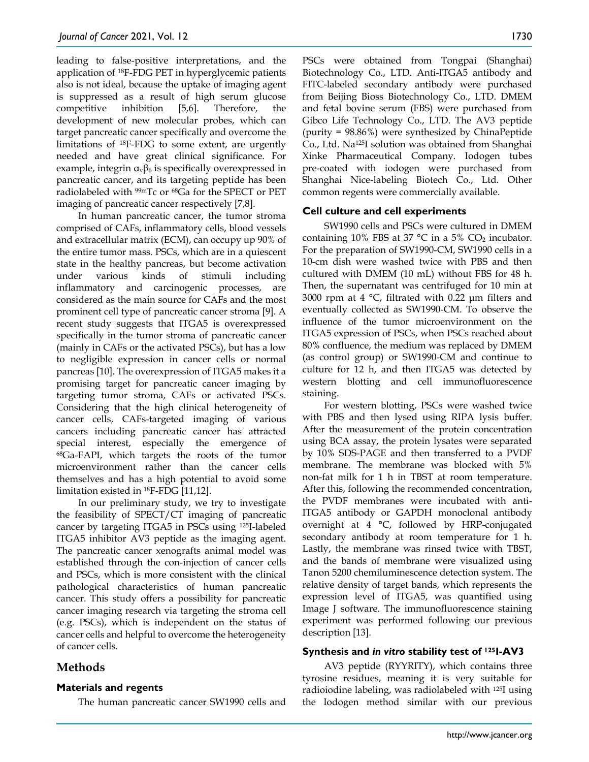leading to false-positive interpretations, and the application of 18F-FDG PET in hyperglycemic patients also is not ideal, because the uptake of imaging agent is suppressed as a result of high serum glucose competitive inhibition [5,6]. Therefore, the development of new molecular probes, which can target pancreatic cancer specifically and overcome the limitations of 18F-FDG to some extent, are urgently needed and have great clinical significance. For example, integrin  $\alpha_{\nu}\beta_6$  is specifically overexpressed in pancreatic cancer, and its targeting peptide has been radiolabeled with 99mTc or 68Ga for the SPECT or PET imaging of pancreatic cancer respectively [7,8].

In human pancreatic cancer, the tumor stroma comprised of CAFs, inflammatory cells, blood vessels and extracellular matrix (ECM), can occupy up 90% of the entire tumor mass. PSCs, which are in a quiescent state in the healthy pancreas, but become activation under various kinds of stimuli including inflammatory and carcinogenic processes, are considered as the main source for CAFs and the most prominent cell type of pancreatic cancer stroma [9]. A recent study suggests that ITGA5 is overexpressed specifically in the tumor stroma of pancreatic cancer (mainly in CAFs or the activated PSCs), but has a low to negligible expression in cancer cells or normal pancreas [10]. The overexpression of ITGA5 makes it a promising target for pancreatic cancer imaging by targeting tumor stroma, CAFs or activated PSCs. Considering that the high clinical heterogeneity of cancer cells, CAFs-targeted imaging of various cancers including pancreatic cancer has attracted special interest, especially the emergence of 68Ga-FAPI, which targets the roots of the tumor microenvironment rather than the cancer cells themselves and has a high potential to avoid some limitation existed in 18F-FDG [11,12].

In our preliminary study, we try to investigate the feasibility of SPECT/CT imaging of pancreatic cancer by targeting ITGA5 in PSCs using 125I-labeled ITGA5 inhibitor AV3 peptide as the imaging agent. The pancreatic cancer xenografts animal model was established through the con-injection of cancer cells and PSCs, which is more consistent with the clinical pathological characteristics of human pancreatic cancer. This study offers a possibility for pancreatic cancer imaging research via targeting the stroma cell (e.g. PSCs), which is independent on the status of cancer cells and helpful to overcome the heterogeneity of cancer cells.

# **Methods**

## **Materials and regents**

The human pancreatic cancer SW1990 cells and

PSCs were obtained from Tongpai (Shanghai) Biotechnology Co., LTD. Anti-ITGA5 antibody and FITC-labeled secondary antibody were purchased from Beijing Bioss Biotechnology Co., LTD. DMEM and fetal bovine serum (FBS) were purchased from Gibco Life Technology Co., LTD. The AV3 peptide (purity = 98.86%) were synthesized by ChinaPeptide Co., Ltd. Na125I solution was obtained from Shanghai Xinke Pharmaceutical Company. Iodogen tubes pre-coated with iodogen were purchased from Shanghai Nice-labeling Biotech Co., Ltd. Other common regents were commercially available.

## **Cell culture and cell experiments**

SW1990 cells and PSCs were cultured in DMEM containing 10% FBS at 37  $^{\circ}$ C in a 5% CO<sub>2</sub> incubator. For the preparation of SW1990-CM, SW1990 cells in a 10-cm dish were washed twice with PBS and then cultured with DMEM (10 mL) without FBS for 48 h. Then, the supernatant was centrifuged for 10 min at 3000 rpm at 4 °C, filtrated with 0.22 μm filters and eventually collected as SW1990-CM. To observe the influence of the tumor microenvironment on the ITGA5 expression of PSCs, when PSCs reached about 80% confluence, the medium was replaced by DMEM (as control group) or SW1990-CM and continue to culture for 12 h, and then ITGA5 was detected by western blotting and cell immunofluorescence staining.

For western blotting, PSCs were washed twice with PBS and then lysed using RIPA lysis buffer. After the measurement of the protein concentration using BCA assay, the protein lysates were separated by 10% SDS-PAGE and then transferred to a PVDF membrane. The membrane was blocked with 5% non-fat milk for 1 h in TBST at room temperature. After this, following the recommended concentration, the PVDF membranes were incubated with anti-ITGA5 antibody or GAPDH monoclonal antibody overnight at 4 °C, followed by HRP-conjugated secondary antibody at room temperature for 1 h. Lastly, the membrane was rinsed twice with TBST, and the bands of membrane were visualized using Tanon 5200 chemiluminescence detection system. The relative density of target bands, which represents the expression level of ITGA5, was quantified using Image J software. The immunofluorescence staining experiment was performed following our previous description [13].

## **Synthesis and** *in vitro* **stability test of 125I-AV3**

AV3 peptide (RYYRITY), which contains three tyrosine residues, meaning it is very suitable for radioiodine labeling, was radiolabeled with 125I using the Iodogen method similar with our previous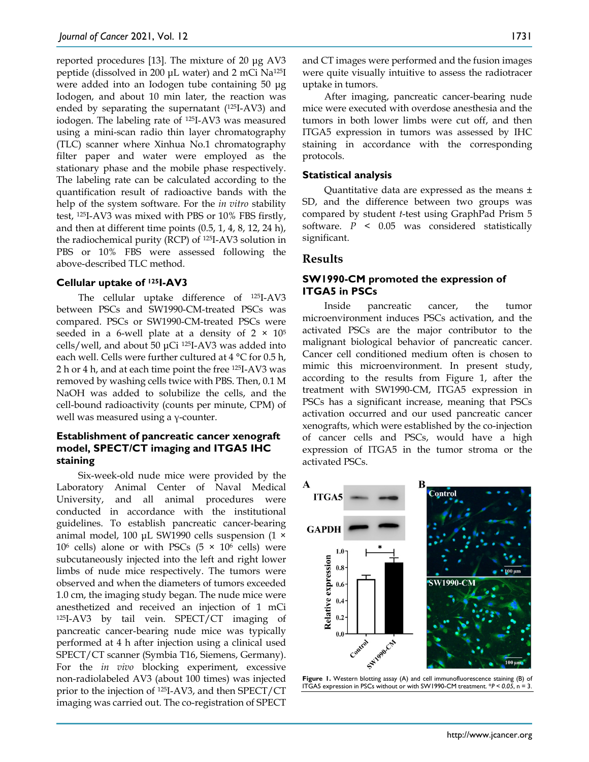reported procedures [13]. The mixture of 20 μg AV3 peptide (dissolved in 200 μL water) and 2 mCi Na125I were added into an Iodogen tube containing 50 μg Iodogen, and about 10 min later, the reaction was ended by separating the supernatant (125I-AV3) and iodogen. The labeling rate of 125I-AV3 was measured using a mini-scan radio thin layer chromatography (TLC) scanner where Xinhua No.1 chromatography filter paper and water were employed as the stationary phase and the mobile phase respectively. The labeling rate can be calculated according to the quantification result of radioactive bands with the help of the system software. For the *in vitro* stability test, 125I-AV3 was mixed with PBS or 10% FBS firstly, and then at different time points (0.5, 1, 4, 8, 12, 24 h), the radiochemical purity (RCP) of 125I-AV3 solution in PBS or 10% FBS were assessed following the above-described TLC method.

#### **Cellular uptake of 125I-AV3**

The cellular uptake difference of 125I-AV3 between PSCs and SW1990-CM-treated PSCs was compared. PSCs or SW1990-CM-treated PSCs were seeded in a 6-well plate at a density of  $2 \times 10^5$ cells/well, and about 50 μCi 125I-AV3 was added into each well. Cells were further cultured at 4 °C for 0.5 h, 2 h or 4 h, and at each time point the free 125I-AV3 was removed by washing cells twice with PBS. Then, 0.1 M NaOH was added to solubilize the cells, and the cell-bound radioactivity (counts per minute, CPM) of well was measured using a γ-counter.

## **Establishment of pancreatic cancer xenograft model, SPECT/CT imaging and ITGA5 IHC staining**

Six-week-old nude mice were provided by the Laboratory Animal Center of Naval Medical University, and all animal procedures were conducted in accordance with the institutional guidelines. To establish pancreatic cancer-bearing animal model, 100 μL SW1990 cells suspension (1 × 10<sup>6</sup> cells) alone or with PSCs ( $5 \times 10^6$  cells) were subcutaneously injected into the left and right lower limbs of nude mice respectively. The tumors were observed and when the diameters of tumors exceeded 1.0 cm, the imaging study began. The nude mice were anesthetized and received an injection of 1 mCi 125I-AV3 by tail vein. SPECT/CT imaging of pancreatic cancer-bearing nude mice was typically performed at 4 h after injection using a clinical used SPECT/CT scanner (Symbia T16, Siemens, Germany). For the *in vivo* blocking experiment, excessive non-radiolabeled AV3 (about 100 times) was injected prior to the injection of 125I-AV3, and then SPECT/CT imaging was carried out. The co-registration of SPECT

and CT images were performed and the fusion images were quite visually intuitive to assess the radiotracer uptake in tumors.

After imaging, pancreatic cancer-bearing nude mice were executed with overdose anesthesia and the tumors in both lower limbs were cut off, and then ITGA5 expression in tumors was assessed by IHC staining in accordance with the corresponding protocols.

#### **Statistical analysis**

Quantitative data are expressed as the means ± SD, and the difference between two groups was compared by student *t*-test using GraphPad Prism 5 software. *P* < 0.05 was considered statistically significant.

## **Results**

## **SW1990-CM promoted the expression of ITGA5 in PSCs**

Inside pancreatic cancer, the tumor microenvironment induces PSCs activation, and the activated PSCs are the major contributor to the malignant biological behavior of pancreatic cancer. Cancer cell conditioned medium often is chosen to mimic this microenvironment. In present study, according to the results from Figure 1, after the treatment with SW1990-CM, ITGA5 expression in PSCs has a significant increase, meaning that PSCs activation occurred and our used pancreatic cancer xenografts, which were established by the co-injection of cancer cells and PSCs, would have a high expression of ITGA5 in the tumor stroma or the activated PSCs.



**Figure 1.** Western blotting assay (A) and cell immunofluorescence staining (B) of ITGA5 expression in PSCs without or with SW1990-CM treatment. \**P < 0.05*, n = 3.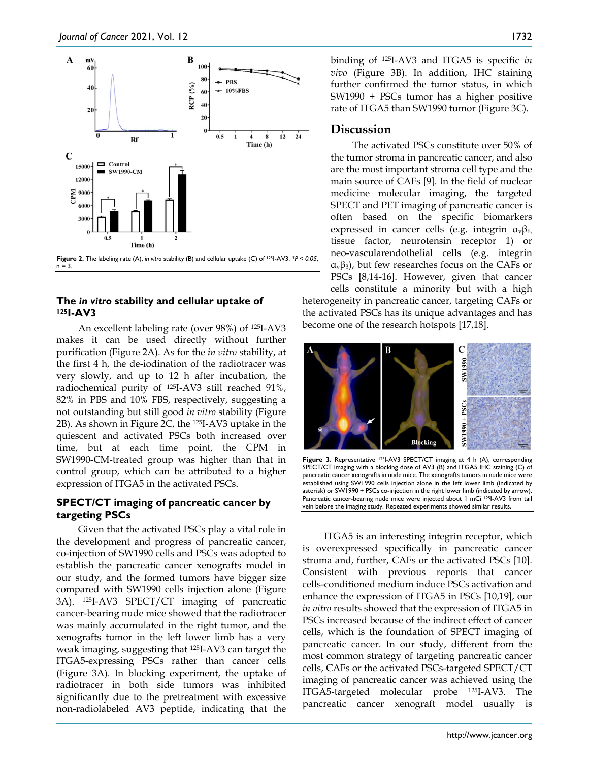

## **The** *in vitro* **stability and cellular uptake of 125I-AV3**

An excellent labeling rate (over 98%) of 125I-AV3 makes it can be used directly without further purification (Figure 2A). As for the *in vitro* stability, at the first 4 h, the de-iodination of the radiotracer was very slowly, and up to 12 h after incubation, the radiochemical purity of 125I-AV3 still reached 91%, 82% in PBS and 10% FBS, respectively, suggesting a not outstanding but still good *in vitro* stability (Figure 2B). As shown in Figure 2C, the 125I-AV3 uptake in the quiescent and activated PSCs both increased over time, but at each time point, the CPM in SW1990-CM-treated group was higher than that in control group, which can be attributed to a higher expression of ITGA5 in the activated PSCs.

## **SPECT/CT imaging of pancreatic cancer by targeting PSCs**

Given that the activated PSCs play a vital role in the development and progress of pancreatic cancer, co-injection of SW1990 cells and PSCs was adopted to establish the pancreatic cancer xenografts model in our study, and the formed tumors have bigger size compared with SW1990 cells injection alone (Figure 3A). 125I-AV3 SPECT/CT imaging of pancreatic cancer-bearing nude mice showed that the radiotracer was mainly accumulated in the right tumor, and the xenografts tumor in the left lower limb has a very weak imaging, suggesting that 125I-AV3 can target the ITGA5-expressing PSCs rather than cancer cells (Figure 3A). In blocking experiment, the uptake of radiotracer in both side tumors was inhibited significantly due to the pretreatment with excessive non-radiolabeled AV3 peptide, indicating that the

binding of 125I-AV3 and ITGA5 is specific *in vivo* (Figure 3B). In addition, IHC staining further confirmed the tumor status, in which SW1990 + PSCs tumor has a higher positive rate of ITGA5 than SW1990 tumor (Figure 3C).

## **Discussion**

The activated PSCs constitute over 50% of the tumor stroma in pancreatic cancer, and also are the most important stroma cell type and the main source of CAFs [9]. In the field of nuclear medicine molecular imaging, the targeted SPECT and PET imaging of pancreatic cancer is often based on the specific biomarkers expressed in cancer cells (e.g. integrin  $\alpha_{\nu}\beta_{6}$ , tissue factor, neurotensin receptor 1) or neo-vascularendothelial cells (e.g. integrin  $\alpha$ <sub>v</sub> $\beta$ <sub>3</sub>), but few researches focus on the CAFs or PSCs [8,14-16]. However, given that cancer

cells constitute a minority but with a high heterogeneity in pancreatic cancer, targeting CAFs or the activated PSCs has its unique advantages and has become one of the research hotspots [17,18].



Figure 3. Representative 1251-AV3 SPECT/CT imaging at 4 h (A), corresponding SPECT/CT imaging with a blocking dose of AV3 (B) and ITGA5 IHC staining (C) of pancreatic cancer xenografts in nude mice. The xenografts tumors in nude mice were established using SW1990 cells injection alone in the left lower limb (indicated by asterisk) or SW1990 + PSCs co-injection in the right lower limb (indicated by arrow). Pancreatic cancer-bearing nude mice were injected about 1 mCi 1251-AV3 from tail vein before the imaging study. Repeated experiments showed similar results.

ITGA5 is an interesting integrin receptor, which is overexpressed specifically in pancreatic cancer stroma and, further, CAFs or the activated PSCs [10]. Consistent with previous reports that cancer cells-conditioned medium induce PSCs activation and enhance the expression of ITGA5 in PSCs [10,19], our *in vitro* results showed that the expression of ITGA5 in PSCs increased because of the indirect effect of cancer cells, which is the foundation of SPECT imaging of pancreatic cancer. In our study, different from the most common strategy of targeting pancreatic cancer cells, CAFs or the activated PSCs-targeted SPECT/CT imaging of pancreatic cancer was achieved using the ITGA5-targeted molecular probe 125I-AV3. The pancreatic cancer xenograft model usually is